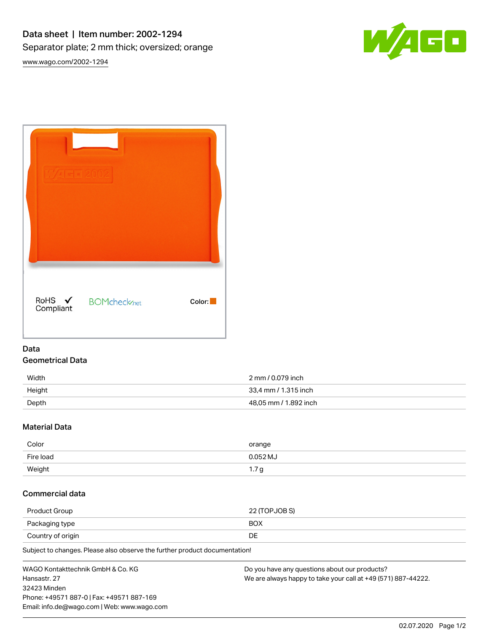

| RoHS ✔<br>Compliant | <b>BOMcheck</b> <sub>net</sub> | Color: |
|---------------------|--------------------------------|--------|

## Data Geometrical Data

| Width  | 2 mm / 0.079 inch     |
|--------|-----------------------|
| Height | 33,4 mm / 1.315 inch  |
| Depth  | 48,05 mm / 1.892 inch |

## Material Data

| Color     | orange       |
|-----------|--------------|
| Fire load | $0.052$ MJ   |
| Weight    | $\mathsf{L}$ |

# Commercial data

| Product Group     | 22 (TOPJOB S) |
|-------------------|---------------|
| Packaging type    | <b>BOX</b>    |
| Country of origin | DE            |

Subject to changes. Please also observe the further product documentation!

| WAGO Kontakttechnik GmbH & Co. KG           | Do you have any questions about our products?                 |
|---------------------------------------------|---------------------------------------------------------------|
| Hansastr. 27                                | We are always happy to take your call at +49 (571) 887-44222. |
| 32423 Minden                                |                                                               |
| Phone: +49571 887-0   Fax: +49571 887-169   |                                                               |
| Email: info.de@wago.com   Web: www.wago.com |                                                               |